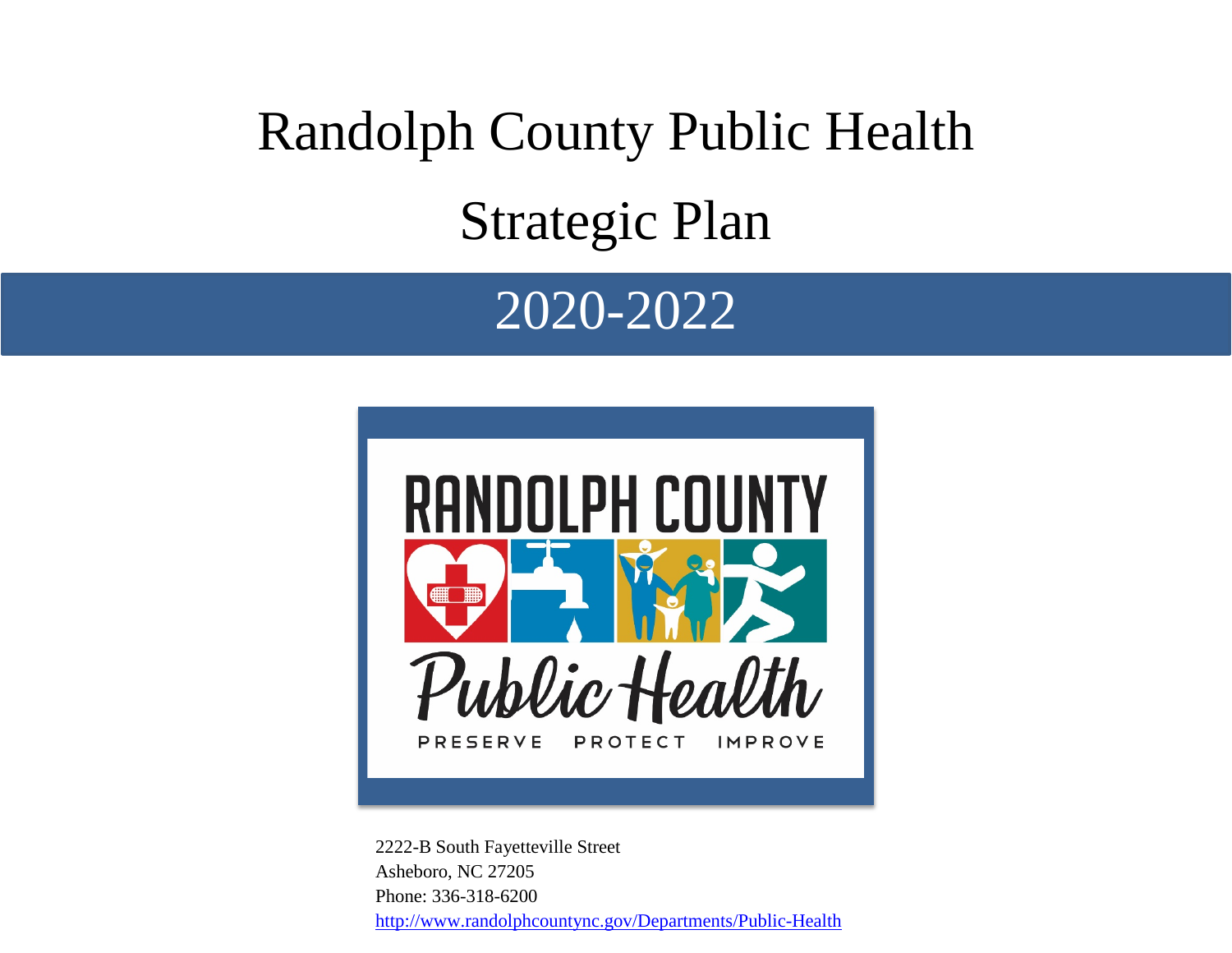# Randolph County Public Health Strategic Plan

# 2020-2022



2222-B South Fayetteville Street Asheboro, NC 27205 Phone: 336-318-6200 <http://www.randolphcountync.gov/Departments/Public-Health>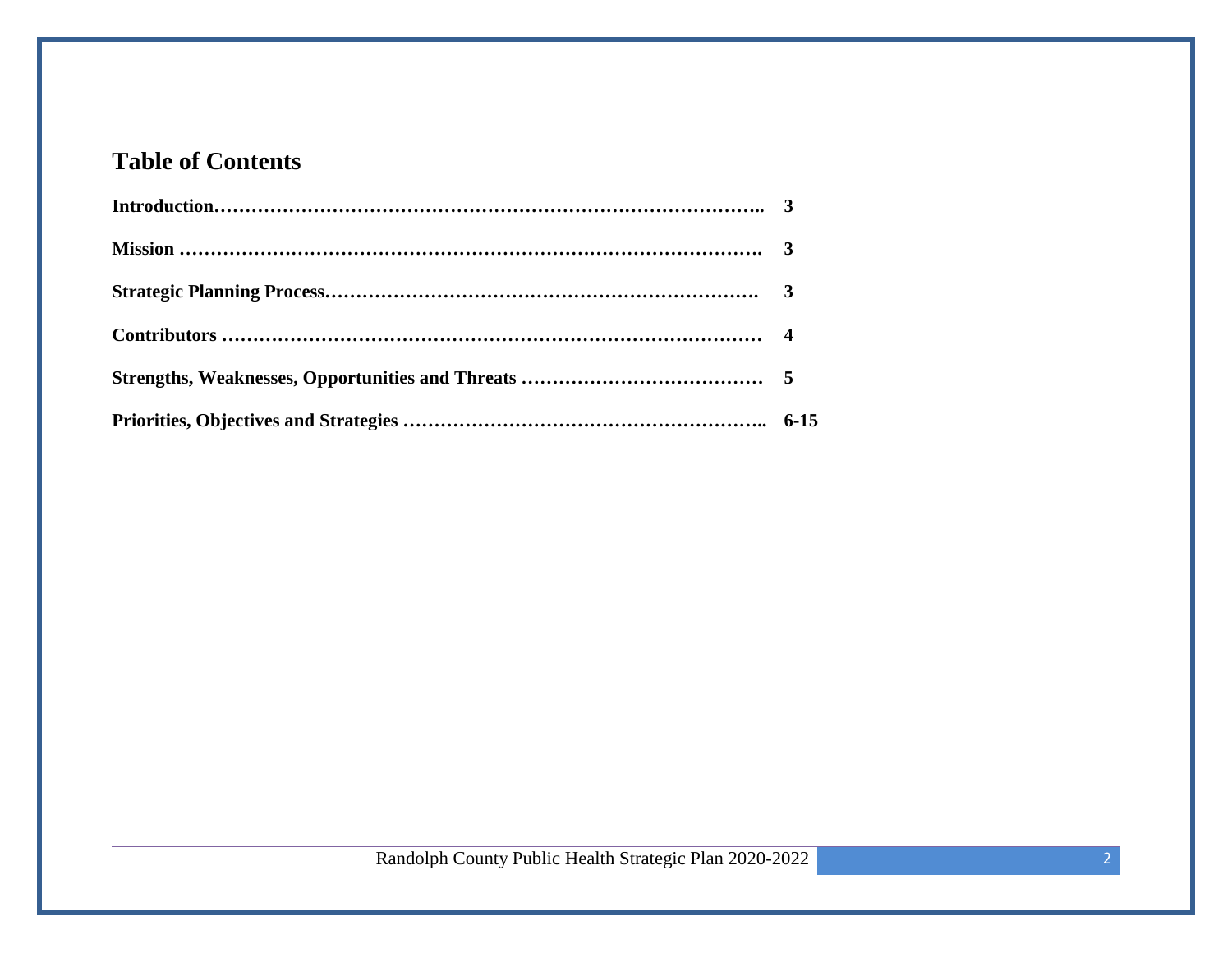## **Table of Contents**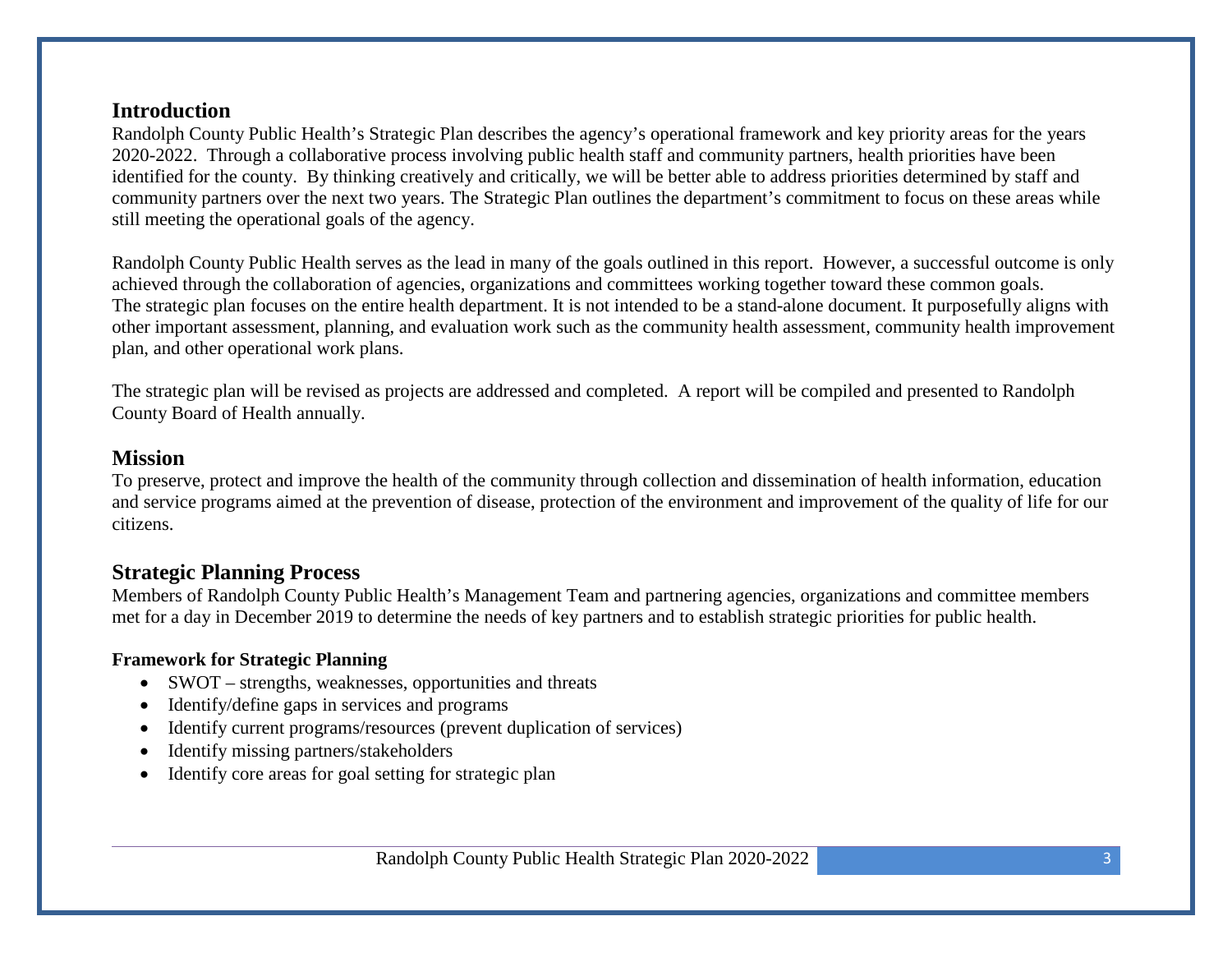#### **Introduction**

Randolph County Public Health's Strategic Plan describes the agency's operational framework and key priority areas for the years 2020-2022. Through a collaborative process involving public health staff and community partners, health priorities have been identified for the county. By thinking creatively and critically, we will be better able to address priorities determined by staff and community partners over the next two years. The Strategic Plan outlines the department's commitment to focus on these areas while still meeting the operational goals of the agency.

Randolph County Public Health serves as the lead in many of the goals outlined in this report. However, a successful outcome is only achieved through the collaboration of agencies, organizations and committees working together toward these common goals. The strategic plan focuses on the entire health department. It is not intended to be a stand-alone document. It purposefully aligns with other important assessment, planning, and evaluation work such as the community health assessment, community health improvement plan, and other operational work plans.

The strategic plan will be revised as projects are addressed and completed. A report will be compiled and presented to Randolph County Board of Health annually.

#### **Mission**

To preserve, protect and improve the health of the community through collection and dissemination of health information, education and service programs aimed at the prevention of disease, protection of the environment and improvement of the quality of life for our citizens.

#### **Strategic Planning Process**

Members of Randolph County Public Health's Management Team and partnering agencies, organizations and committee members met for a day in December 2019 to determine the needs of key partners and to establish strategic priorities for public health.

#### **Framework for Strategic Planning**

- SWOT strengths, weaknesses, opportunities and threats
- Identify/define gaps in services and programs
- Identify current programs/resources (prevent duplication of services)
- Identify missing partners/stakeholders
- Identify core areas for goal setting for strategic plan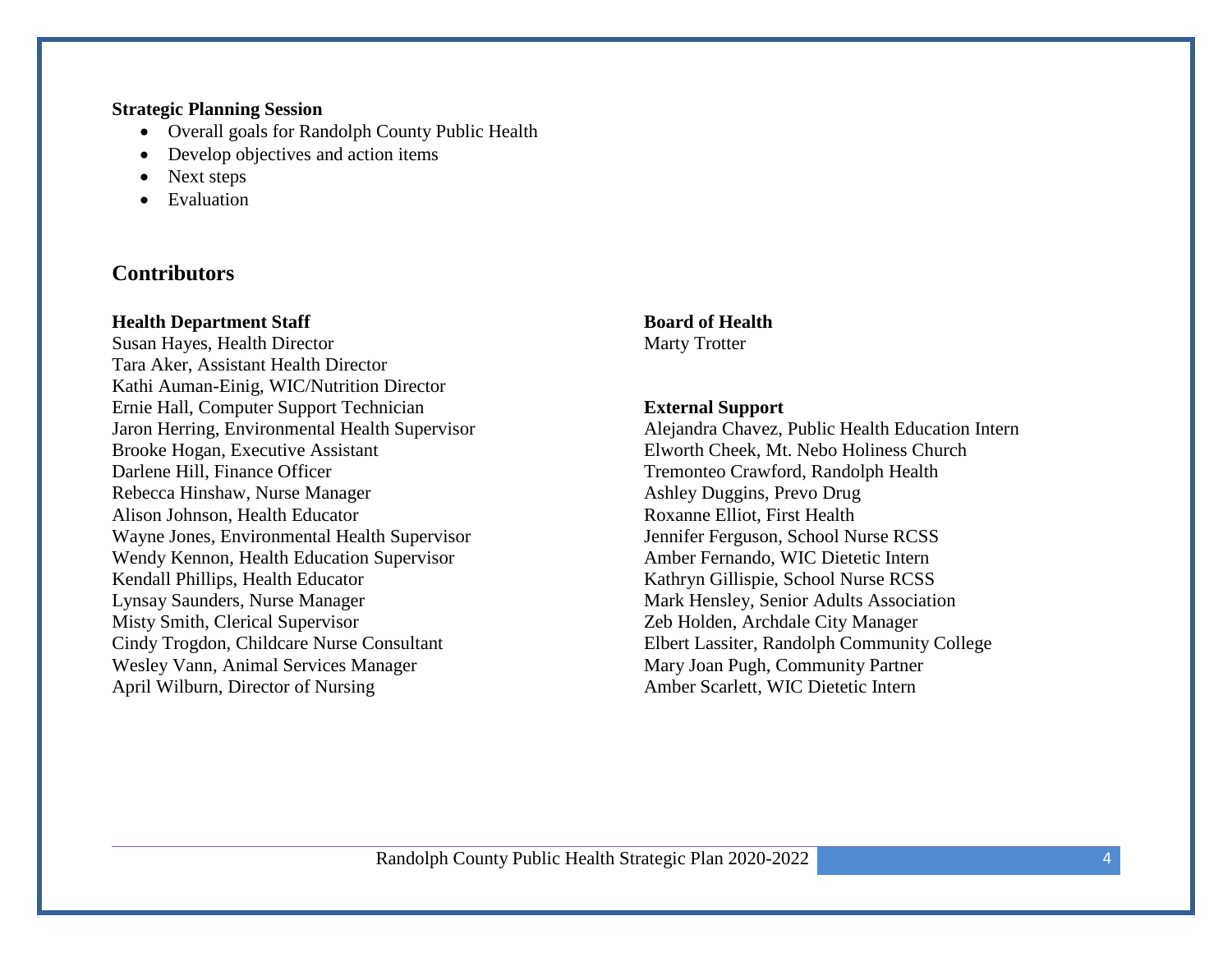#### **Strategic Planning Session**

- Overall goals for Randolph County Public Health
- Develop objectives and action items
- Next steps
- Evaluation

#### **Contributors**

#### **Health Department Staff**

Susan Hayes, Health Director Tara Aker, Assistant Health Director Kathi Auman-Einig, WIC/Nutrition Director Ernie Hall, Computer Support Technician Jaron Herring, Environmental Health Supervisor Brooke Hogan, Executive Assistant Darlene Hill, Finance Officer Rebecca Hinshaw, Nurse Manager Alison Johnson, Health Educator Wayne Jones, Environmental Health Supervisor Wendy Kennon, Health Education Supervisor Kendall Phillips, Health Educator Lynsay Saunders, Nurse Manager Misty Smith, Clerical Supervisor Cindy Trogdon, Childcare Nurse Consultant Wesley Vann, Animal Services Manager April Wilburn, Director of Nursing

**Board of Health** Marty Trotter

#### **External Support**

Alejandra Chavez, Public Health Education Intern Elworth Cheek, Mt. Nebo Holiness Church Tremonteo Crawford, Randolph Health Ashley Duggins, Prevo Drug Roxanne Elliot, First Health Jennifer Ferguson, School Nurse RCSS Amber Fernando, WIC Dietetic Intern Kathryn Gillispie, School Nurse RCSS Mark Hensley, Senior Adults Association Zeb Holden, Archdale City Manager Elbert Lassiter, Randolph Community College Mary Joan Pugh, Community Partner Amber Scarlett, WIC Dietetic Intern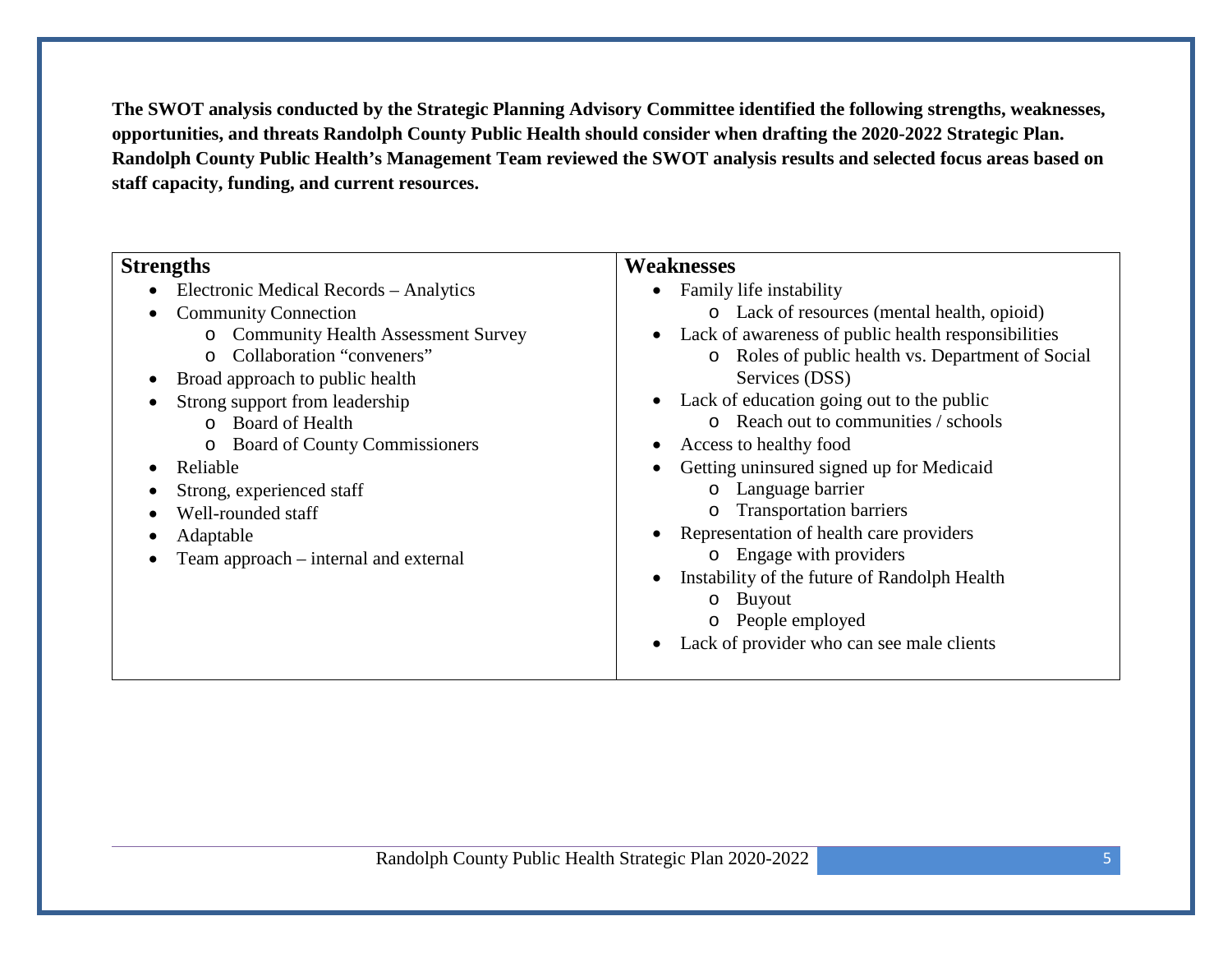**The SWOT analysis conducted by the Strategic Planning Advisory Committee identified the following strengths, weaknesses, opportunities, and threats Randolph County Public Health should consider when drafting the 2020-2022 Strategic Plan. Randolph County Public Health's Management Team reviewed the SWOT analysis results and selected focus areas based on staff capacity, funding, and current resources.**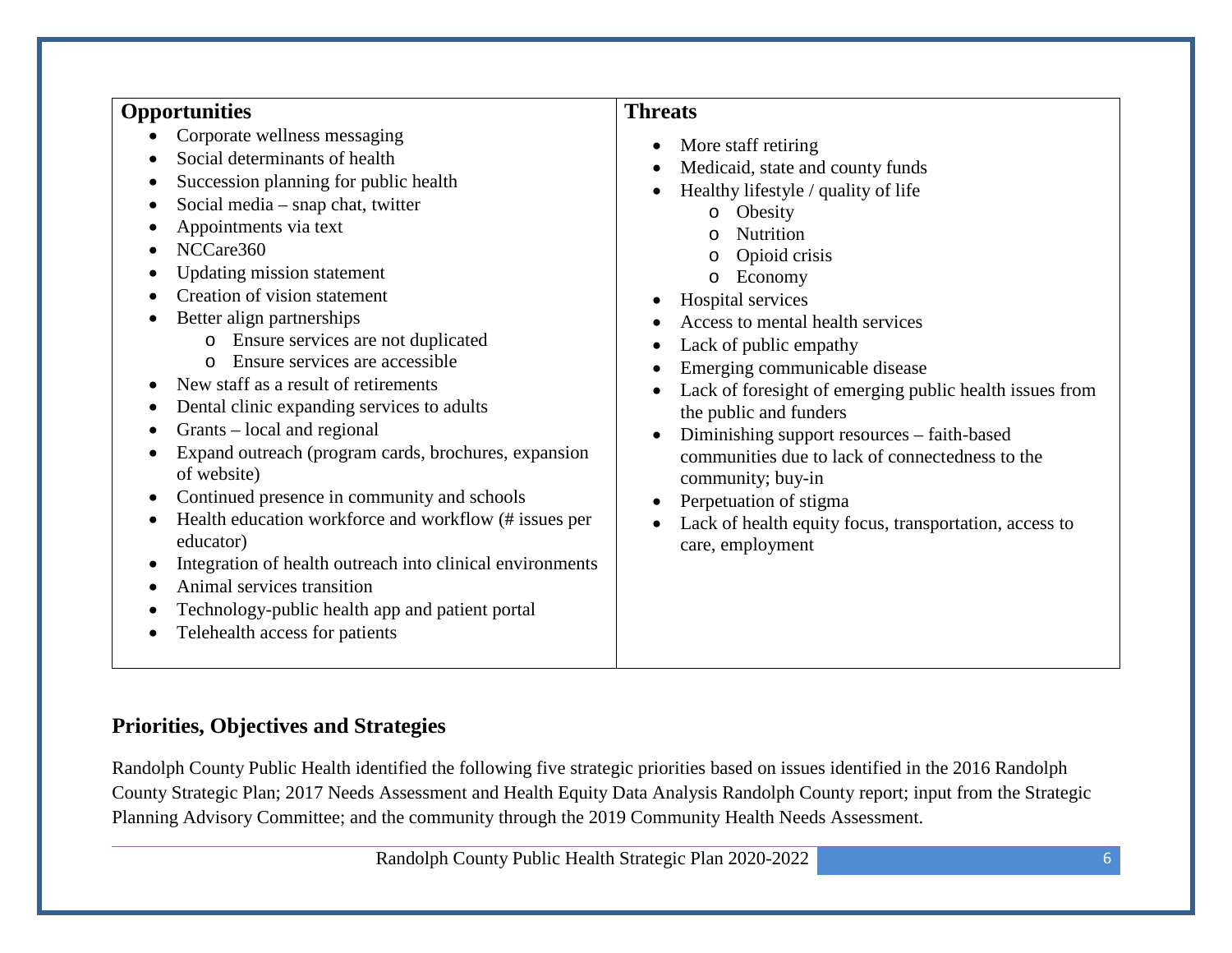#### **Opportunities**

- Corporate wellness messaging
- Social determinants of health
- Succession planning for public health
- Social media snap chat, twitter
- Appointments via text
- NCCare360
- Updating mission statement
- Creation of vision statement
- Better align partnerships
	- o Ensure services are not duplicated
	- o Ensure services are accessible
- New staff as a result of retirements
- Dental clinic expanding services to adults
- Grants local and regional
- Expand outreach (program cards, brochures, expansion of website)
- Continued presence in community and schools
- Health education workforce and workflow (# issues per educator)
- Integration of health outreach into clinical environments
- Animal services transition
- Technology-public health app and patient portal
- Telehealth access for patients

#### **Threats**

- More staff retiring
- Medicaid, state and county funds
- Healthy lifestyle / quality of life
	- o Obesity
	- o Nutrition
	- o Opioid crisis
	- o Economy
- Hospital services
- Access to mental health services
- Lack of public empathy
- Emerging communicable disease
- Lack of foresight of emerging public health issues from the public and funders
- Diminishing support resources faith-based communities due to lack of connectedness to the community; buy-in
- Perpetuation of stigma
- Lack of health equity focus, transportation, access to care, employment

#### **Priorities, Objectives and Strategies**

Randolph County Public Health identified the following five strategic priorities based on issues identified in the 2016 Randolph County Strategic Plan; 2017 Needs Assessment and Health Equity Data Analysis Randolph County report; input from the Strategic Planning Advisory Committee; and the community through the 2019 Community Health Needs Assessment.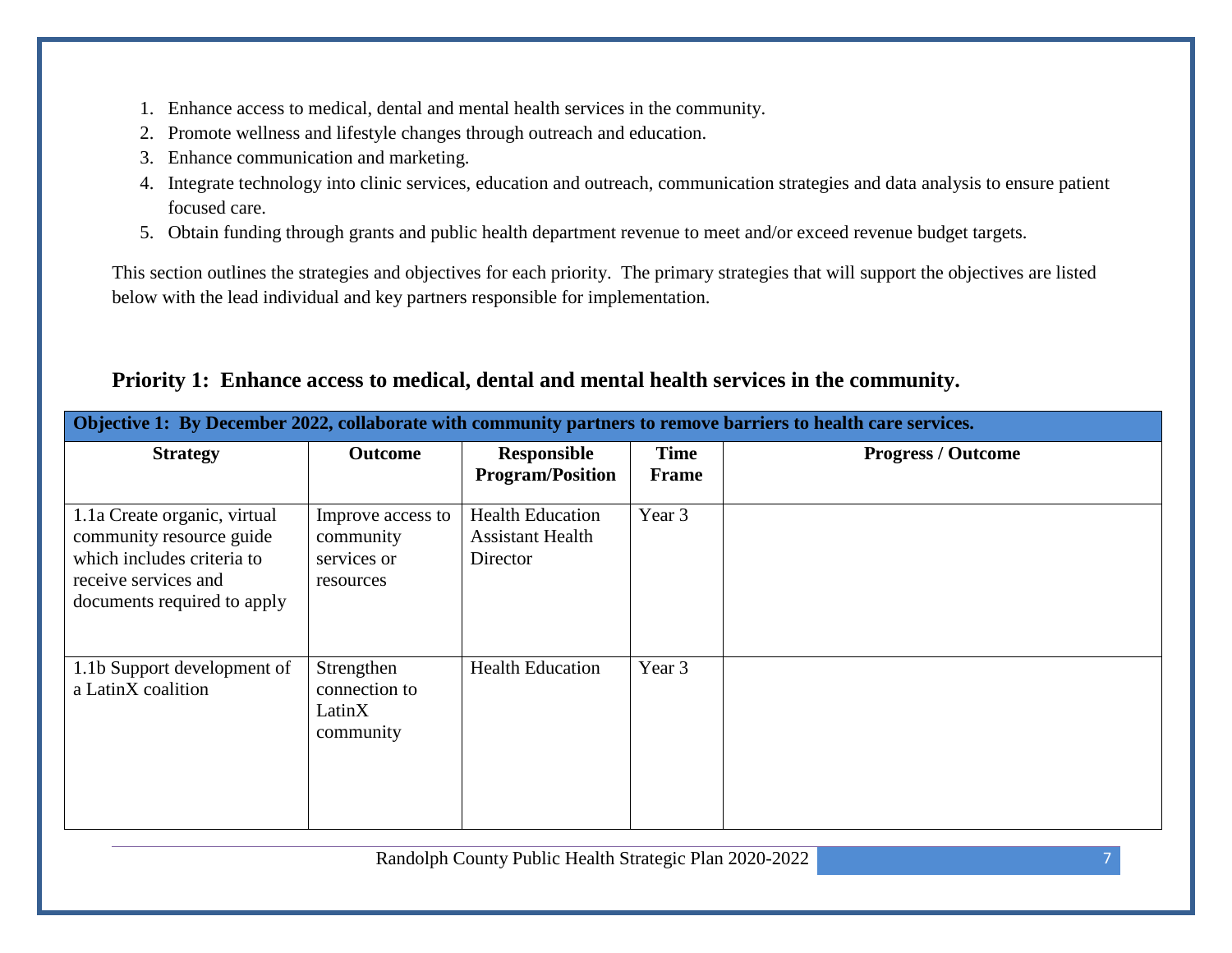- 1. Enhance access to medical, dental and mental health services in the community.
- 2. Promote wellness and lifestyle changes through outreach and education.
- 3. Enhance communication and marketing.
- 4. Integrate technology into clinic services, education and outreach, communication strategies and data analysis to ensure patient focused care.
- 5. Obtain funding through grants and public health department revenue to meet and/or exceed revenue budget targets.

This section outlines the strategies and objectives for each priority. The primary strategies that will support the objectives are listed below with the lead individual and key partners responsible for implementation.

| Objective 1: By December 2022, collaborate with community partners to remove barriers to health care services.                                |                                                            |                                                                |                             |                           |  |
|-----------------------------------------------------------------------------------------------------------------------------------------------|------------------------------------------------------------|----------------------------------------------------------------|-----------------------------|---------------------------|--|
| <b>Strategy</b>                                                                                                                               | <b>Outcome</b>                                             | <b>Responsible</b><br><b>Program/Position</b>                  | <b>Time</b><br><b>Frame</b> | <b>Progress / Outcome</b> |  |
| 1.1a Create organic, virtual<br>community resource guide<br>which includes criteria to<br>receive services and<br>documents required to apply | Improve access to<br>community<br>services or<br>resources | <b>Health Education</b><br><b>Assistant Health</b><br>Director | Year 3                      |                           |  |
| 1.1b Support development of<br>a LatinX coalition                                                                                             | Strengthen<br>connection to<br>LatinX<br>community         | <b>Health Education</b>                                        | Year 3                      |                           |  |

#### **Priority 1: Enhance access to medical, dental and mental health services in the community.**

Randolph County Public Health Strategic Plan 2020-2022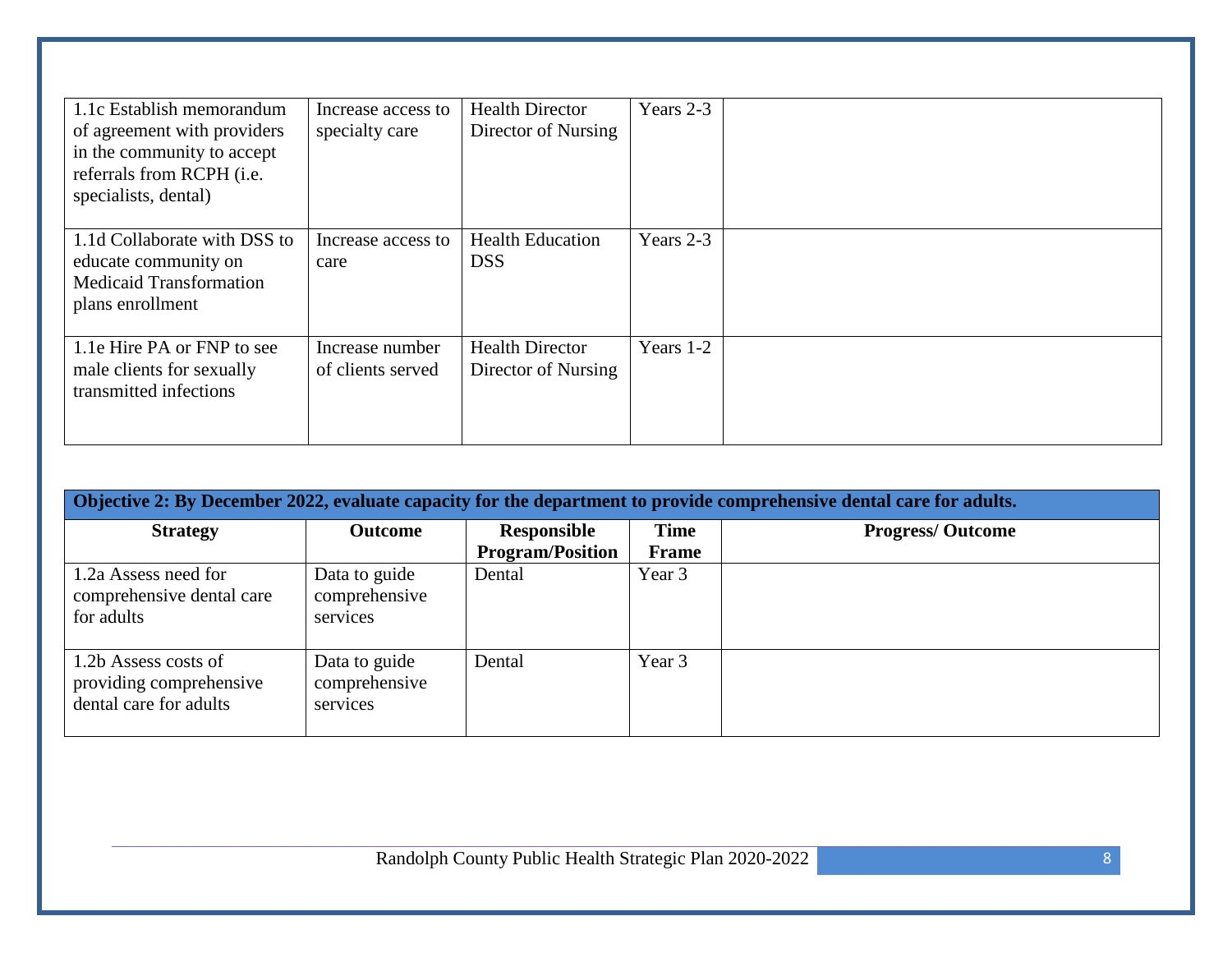| 1.1c Establish memorandum<br>of agreement with providers<br>in the community to accept<br>referrals from RCPH (i.e.<br>specialists, dental) | Increase access to<br>specialty care | <b>Health Director</b><br>Director of Nursing | Years 2-3 |  |
|---------------------------------------------------------------------------------------------------------------------------------------------|--------------------------------------|-----------------------------------------------|-----------|--|
| 1.1d Collaborate with DSS to<br>educate community on<br><b>Medicaid Transformation</b><br>plans enrollment                                  | Increase access to<br>care           | <b>Health Education</b><br><b>DSS</b>         | Years 2-3 |  |
| 1.1e Hire PA or FNP to see<br>male clients for sexually<br>transmitted infections                                                           | Increase number<br>of clients served | <b>Health Director</b><br>Director of Nursing | Years 1-2 |  |

| Objective 2: By December 2022, evaluate capacity for the department to provide comprehensive dental care for adults. |                                            |                                        |                      |                         |  |  |
|----------------------------------------------------------------------------------------------------------------------|--------------------------------------------|----------------------------------------|----------------------|-------------------------|--|--|
| <b>Strategy</b>                                                                                                      | <b>Outcome</b>                             | Responsible<br><b>Program/Position</b> | <b>Time</b><br>Frame | <b>Progress/Outcome</b> |  |  |
| 1.2a Assess need for<br>comprehensive dental care<br>for adults                                                      | Data to guide<br>comprehensive<br>services | Dental                                 | Year 3               |                         |  |  |
| 1.2b Assess costs of<br>providing comprehensive<br>dental care for adults                                            | Data to guide<br>comprehensive<br>services | Dental                                 | Year 3               |                         |  |  |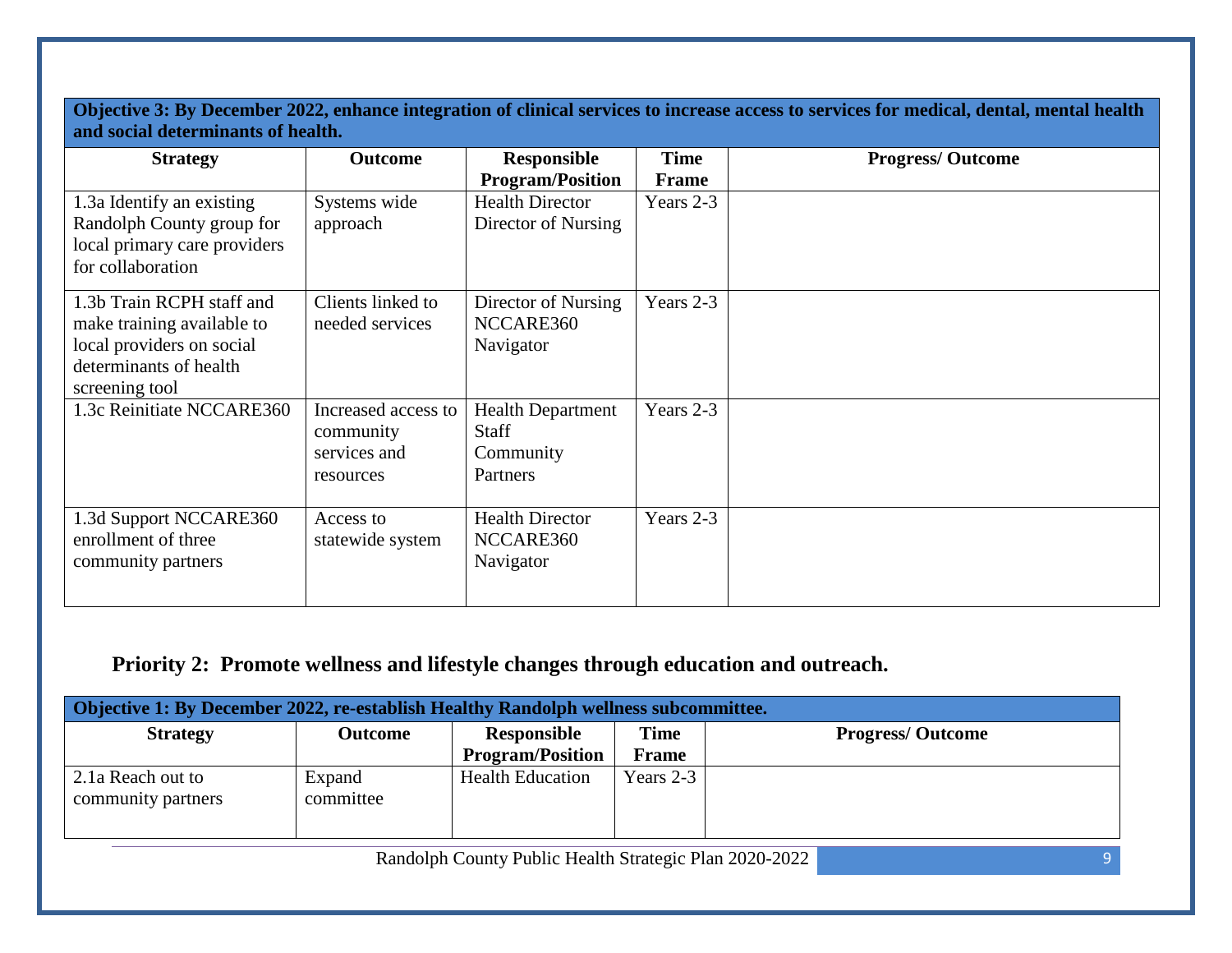**Objective 3: By December 2022, enhance integration of clinical services to increase access to services for medical, dental, mental health and social determinants of health.**

| <b>Strategy</b>                                                                                                                  | <b>Outcome</b>                                                | <b>Responsible</b><br><b>Program/Position</b>                     | Time<br><b>Frame</b> | <b>Progress/Outcome</b> |
|----------------------------------------------------------------------------------------------------------------------------------|---------------------------------------------------------------|-------------------------------------------------------------------|----------------------|-------------------------|
| 1.3a Identify an existing<br>Randolph County group for<br>local primary care providers<br>for collaboration                      | Systems wide<br>approach                                      | <b>Health Director</b><br>Director of Nursing                     | Years 2-3            |                         |
| 1.3b Train RCPH staff and<br>make training available to<br>local providers on social<br>determinants of health<br>screening tool | Clients linked to<br>needed services                          | Director of Nursing<br>NCCARE360<br>Navigator                     | Years 2-3            |                         |
| 1.3c Reinitiate NCCARE360                                                                                                        | Increased access to<br>community<br>services and<br>resources | <b>Health Department</b><br><b>Staff</b><br>Community<br>Partners | Years 2-3            |                         |
| 1.3d Support NCCARE360<br>enrollment of three<br>community partners                                                              | Access to<br>statewide system                                 | <b>Health Director</b><br>NCCARE360<br>Navigator                  | Years 2-3            |                         |

#### **Priority 2: Promote wellness and lifestyle changes through education and outreach.**

| <b>Objective 1: By December 2022, re-establish Healthy Randolph wellness subcommittee.</b> |                                                        |                         |              |                         |  |  |  |  |
|--------------------------------------------------------------------------------------------|--------------------------------------------------------|-------------------------|--------------|-------------------------|--|--|--|--|
| <b>Strategy</b>                                                                            | <b>Outcome</b>                                         | Responsible             | <b>Time</b>  | <b>Progress/Outcome</b> |  |  |  |  |
|                                                                                            |                                                        | <b>Program/Position</b> | <b>Frame</b> |                         |  |  |  |  |
| 2.1a Reach out to                                                                          | Expand                                                 | <b>Health Education</b> | Years $2-3$  |                         |  |  |  |  |
| community partners                                                                         | committee                                              |                         |              |                         |  |  |  |  |
|                                                                                            |                                                        |                         |              |                         |  |  |  |  |
|                                                                                            | Randolph County Public Health Strategic Plan 2020-2022 |                         |              |                         |  |  |  |  |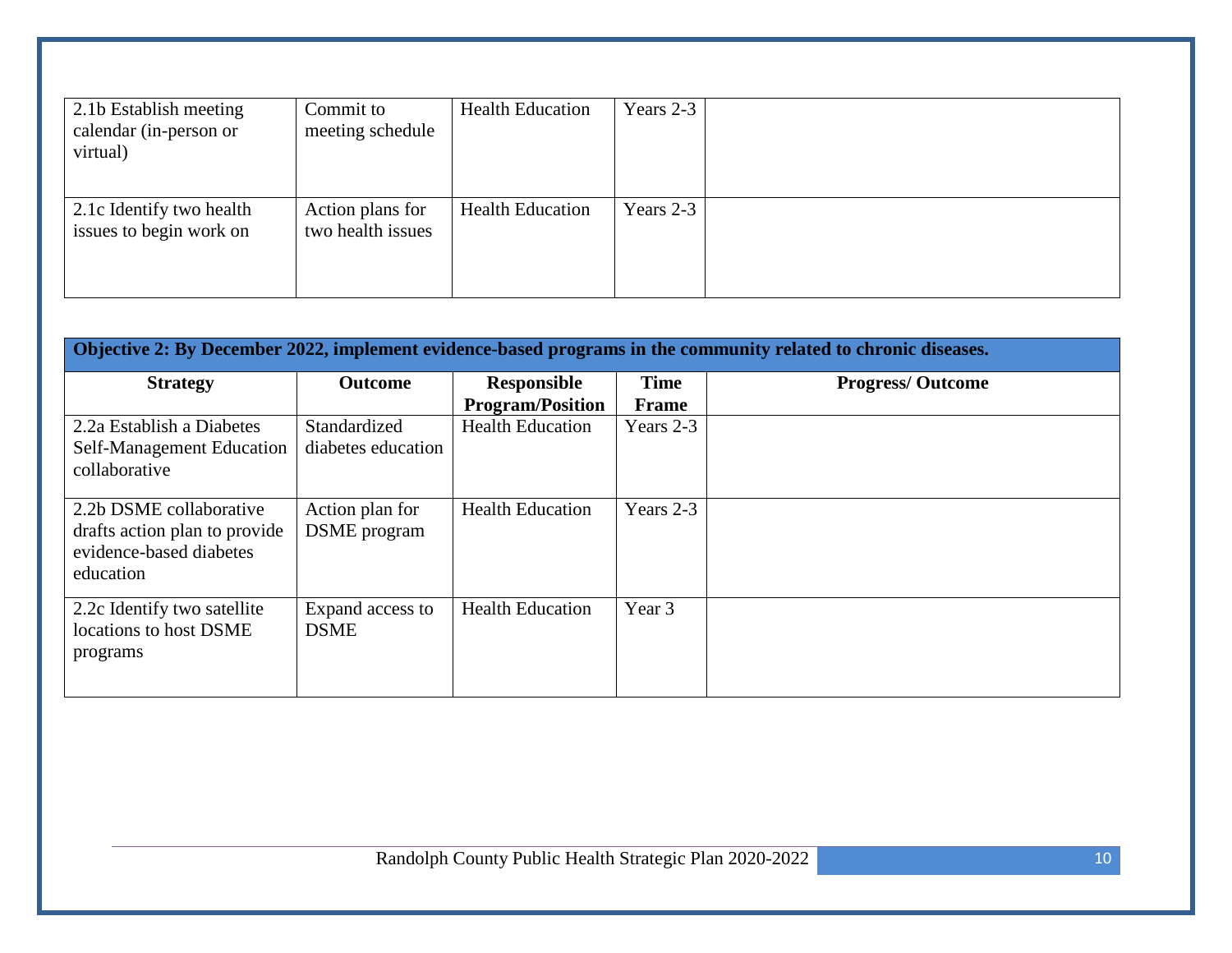| 2.1b Establish meeting<br>calendar (in-person or<br>virtual) | Commit to<br>meeting schedule         | <b>Health Education</b> | Years 2-3 |  |
|--------------------------------------------------------------|---------------------------------------|-------------------------|-----------|--|
| 2.1c Identify two health<br>issues to begin work on          | Action plans for<br>two health issues | <b>Health Education</b> | Years 2-3 |  |

| Objective 2: By December 2022, implement evidence-based programs in the community related to chronic diseases. |                                        |                                               |                      |                         |  |  |
|----------------------------------------------------------------------------------------------------------------|----------------------------------------|-----------------------------------------------|----------------------|-------------------------|--|--|
| <b>Strategy</b>                                                                                                | <b>Outcome</b>                         | <b>Responsible</b><br><b>Program/Position</b> | <b>Time</b><br>Frame | <b>Progress/Outcome</b> |  |  |
| 2.2a Establish a Diabetes<br>Self-Management Education<br>collaborative                                        | Standardized<br>diabetes education     | <b>Health Education</b>                       | Years 2-3            |                         |  |  |
| 2.2b DSME collaborative<br>drafts action plan to provide<br>evidence-based diabetes<br>education               | Action plan for<br><b>DSME</b> program | <b>Health Education</b>                       | Years 2-3            |                         |  |  |
| 2.2c Identify two satellite<br>locations to host DSME<br>programs                                              | Expand access to<br><b>DSME</b>        | <b>Health Education</b>                       | Year 3               |                         |  |  |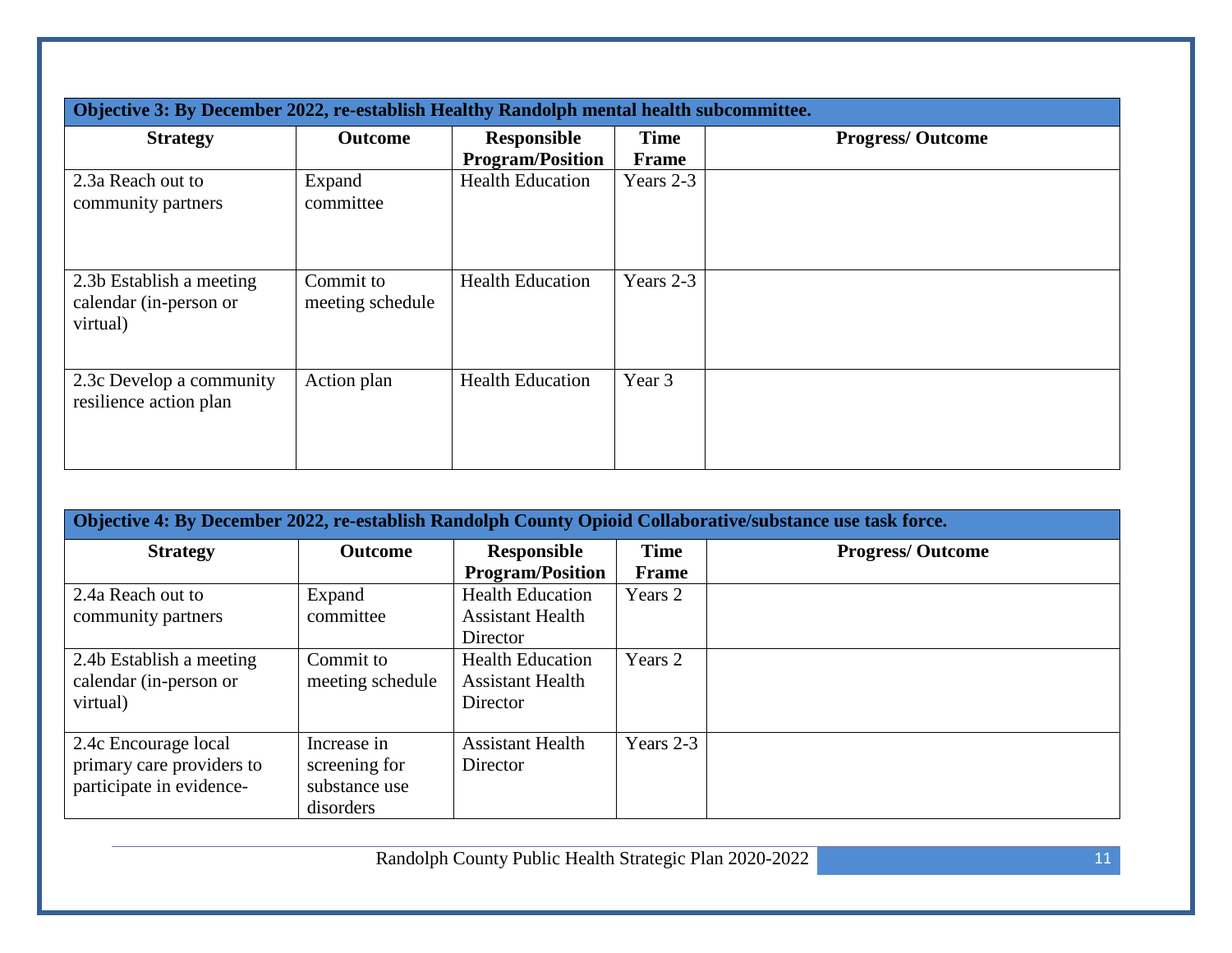|                                                                | Objective 3: By December 2022, re-establish Healthy Randolph mental health subcommittee. |                                               |                      |                         |  |  |  |
|----------------------------------------------------------------|------------------------------------------------------------------------------------------|-----------------------------------------------|----------------------|-------------------------|--|--|--|
| <b>Strategy</b>                                                | <b>Outcome</b>                                                                           | <b>Responsible</b><br><b>Program/Position</b> | <b>Time</b><br>Frame | <b>Progress/Outcome</b> |  |  |  |
| 2.3a Reach out to<br>community partners                        | Expand<br>committee                                                                      | <b>Health Education</b>                       | Years 2-3            |                         |  |  |  |
| 2.3b Establish a meeting<br>calendar (in-person or<br>virtual) | Commit to<br>meeting schedule                                                            | <b>Health Education</b>                       | Years 2-3            |                         |  |  |  |
| 2.3c Develop a community<br>resilience action plan             | Action plan                                                                              | <b>Health Education</b>                       | Year 3               |                         |  |  |  |

| Objective 4: By December 2022, re-establish Randolph County Opioid Collaborative/substance use task force. |                  |                         |              |                         |  |  |
|------------------------------------------------------------------------------------------------------------|------------------|-------------------------|--------------|-------------------------|--|--|
| <b>Strategy</b>                                                                                            | <b>Outcome</b>   | Responsible             | <b>Time</b>  | <b>Progress/Outcome</b> |  |  |
|                                                                                                            |                  | <b>Program/Position</b> | <b>Frame</b> |                         |  |  |
| 2.4a Reach out to                                                                                          | Expand           | <b>Health Education</b> | Years 2      |                         |  |  |
| community partners                                                                                         | committee        | <b>Assistant Health</b> |              |                         |  |  |
|                                                                                                            |                  | Director                |              |                         |  |  |
| 2.4b Establish a meeting                                                                                   | Commit to        | <b>Health Education</b> | Years 2      |                         |  |  |
| calendar (in-person or                                                                                     | meeting schedule | <b>Assistant Health</b> |              |                         |  |  |
| virtual)                                                                                                   |                  | Director                |              |                         |  |  |
|                                                                                                            |                  |                         |              |                         |  |  |
| 2.4c Encourage local                                                                                       | Increase in      | <b>Assistant Health</b> | Years 2-3    |                         |  |  |
| primary care providers to                                                                                  | screening for    | Director                |              |                         |  |  |
| participate in evidence-                                                                                   | substance use    |                         |              |                         |  |  |
|                                                                                                            | disorders        |                         |              |                         |  |  |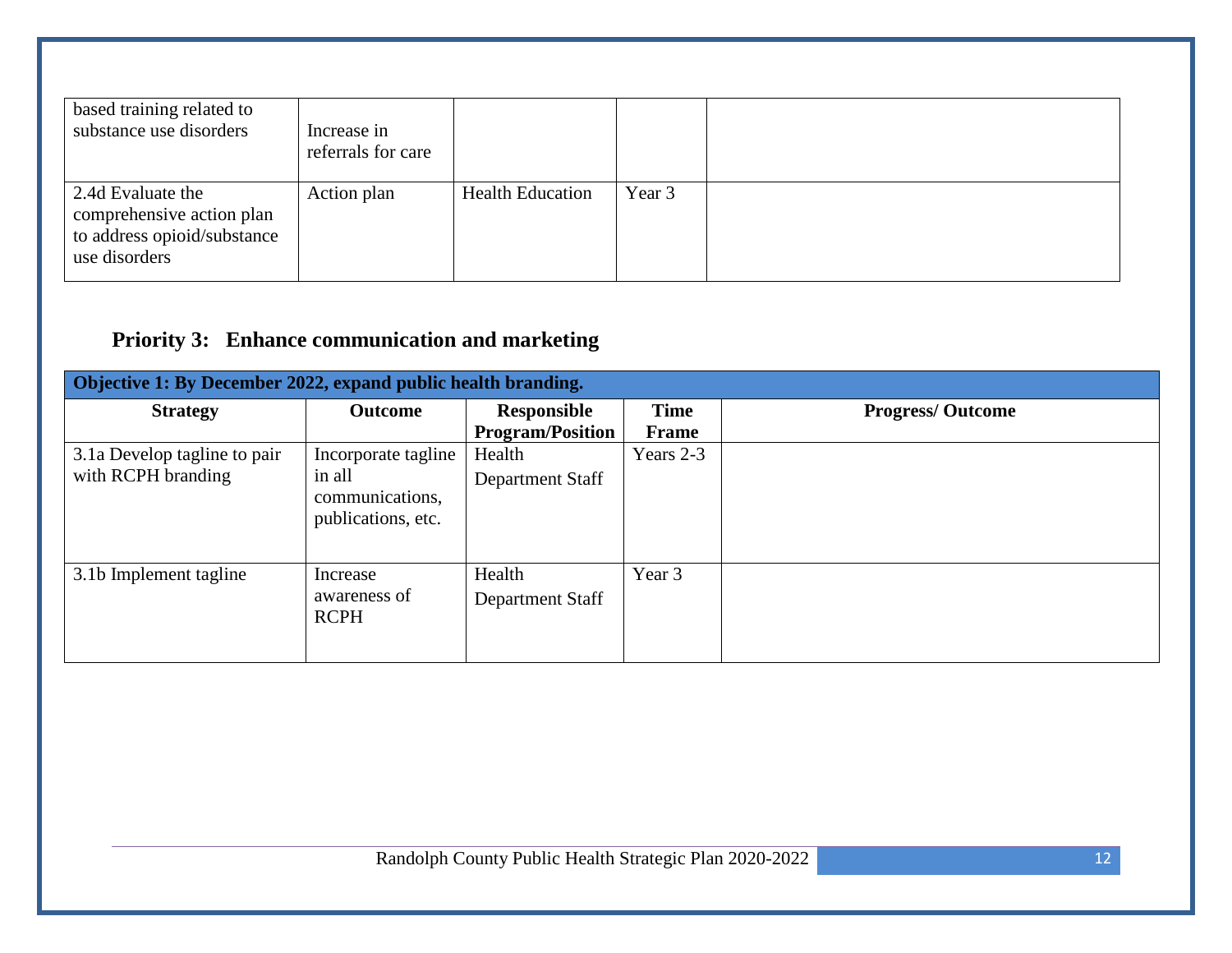| based training related to<br>substance use disorders                                           | Increase in<br>referrals for care |                         |        |  |
|------------------------------------------------------------------------------------------------|-----------------------------------|-------------------------|--------|--|
| 2.4d Evaluate the<br>comprehensive action plan<br>to address opioid/substance<br>use disorders | Action plan                       | <b>Health Education</b> | Year 3 |  |

## **Priority 3: Enhance communication and marketing**

| Objective 1: By December 2022, expand public health branding. |                                                                        |                                        |                      |                         |  |
|---------------------------------------------------------------|------------------------------------------------------------------------|----------------------------------------|----------------------|-------------------------|--|
| <b>Strategy</b>                                               | <b>Outcome</b>                                                         | Responsible<br><b>Program/Position</b> | <b>Time</b><br>Frame | <b>Progress/Outcome</b> |  |
| 3.1a Develop tagline to pair<br>with RCPH branding            | Incorporate tagline<br>in all<br>communications,<br>publications, etc. | Health<br>Department Staff             | Years 2-3            |                         |  |
| 3.1b Implement tagline                                        | Increase<br>awareness of<br><b>RCPH</b>                                | Health<br>Department Staff             | Year 3               |                         |  |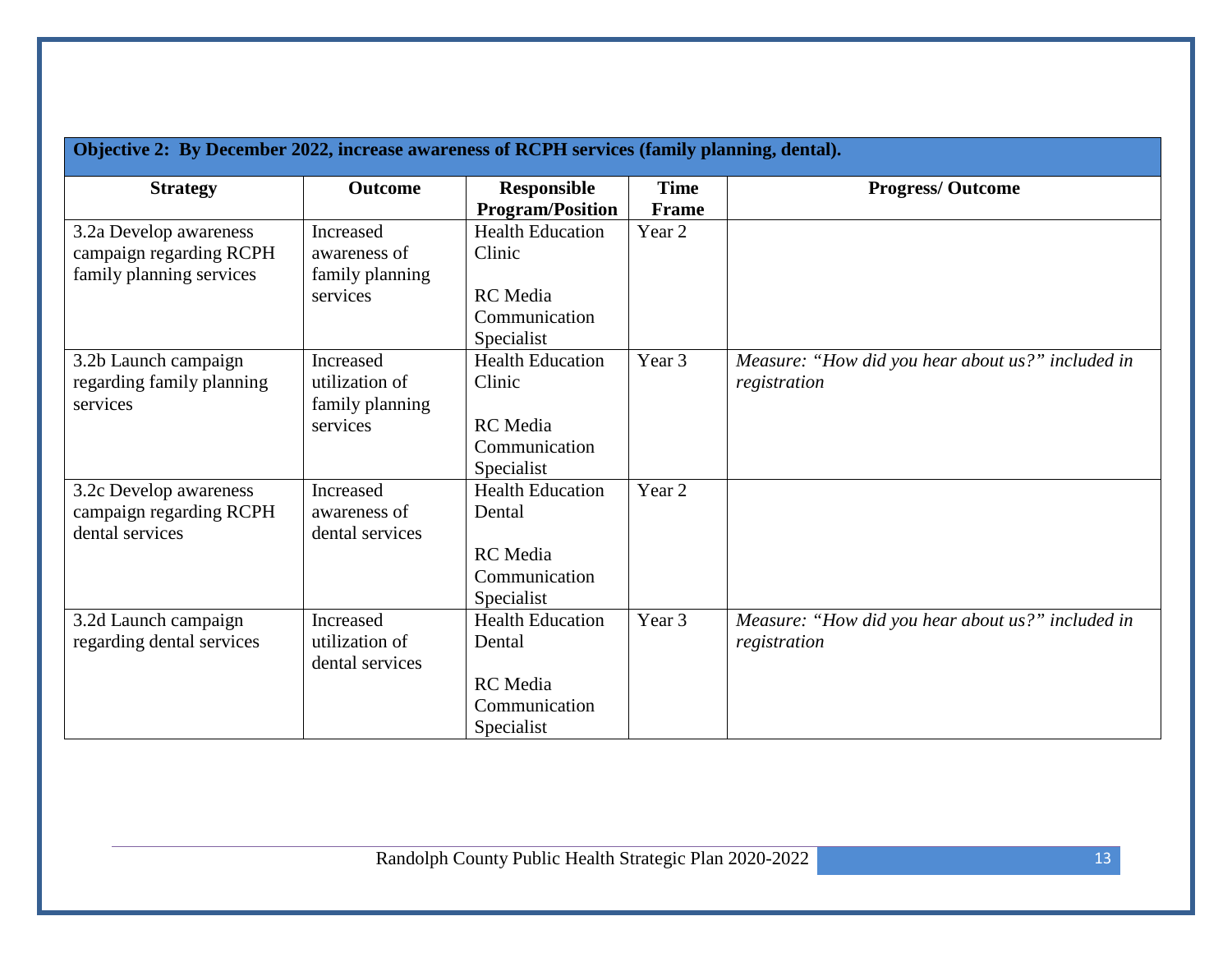| Objective 2: By December 2022, increase awareness of RCPH services (family planning, dental). |                                                |                                                |                             |                                                                   |  |
|-----------------------------------------------------------------------------------------------|------------------------------------------------|------------------------------------------------|-----------------------------|-------------------------------------------------------------------|--|
| <b>Strategy</b>                                                                               | <b>Outcome</b>                                 | <b>Responsible</b><br><b>Program/Position</b>  | <b>Time</b><br><b>Frame</b> | <b>Progress/Outcome</b>                                           |  |
| 3.2a Develop awareness<br>campaign regarding RCPH<br>family planning services                 | Increased<br>awareness of<br>family planning   | <b>Health Education</b><br>Clinic              | Year 2                      |                                                                   |  |
|                                                                                               | services                                       | RC Media<br>Communication<br>Specialist        |                             |                                                                   |  |
| 3.2b Launch campaign<br>regarding family planning<br>services                                 | Increased<br>utilization of<br>family planning | <b>Health Education</b><br>Clinic              | Year 3                      | Measure: "How did you hear about us?" included in<br>registration |  |
|                                                                                               | services                                       | <b>RC</b> Media<br>Communication<br>Specialist |                             |                                                                   |  |
| 3.2c Develop awareness<br>campaign regarding RCPH<br>dental services                          | Increased<br>awareness of<br>dental services   | <b>Health Education</b><br>Dental              | Year 2                      |                                                                   |  |
|                                                                                               |                                                | <b>RC</b> Media<br>Communication<br>Specialist |                             |                                                                   |  |
| 3.2d Launch campaign<br>regarding dental services                                             | Increased<br>utilization of<br>dental services | <b>Health Education</b><br>Dental              | Year 3                      | Measure: "How did you hear about us?" included in<br>registration |  |
|                                                                                               |                                                | <b>RC</b> Media<br>Communication<br>Specialist |                             |                                                                   |  |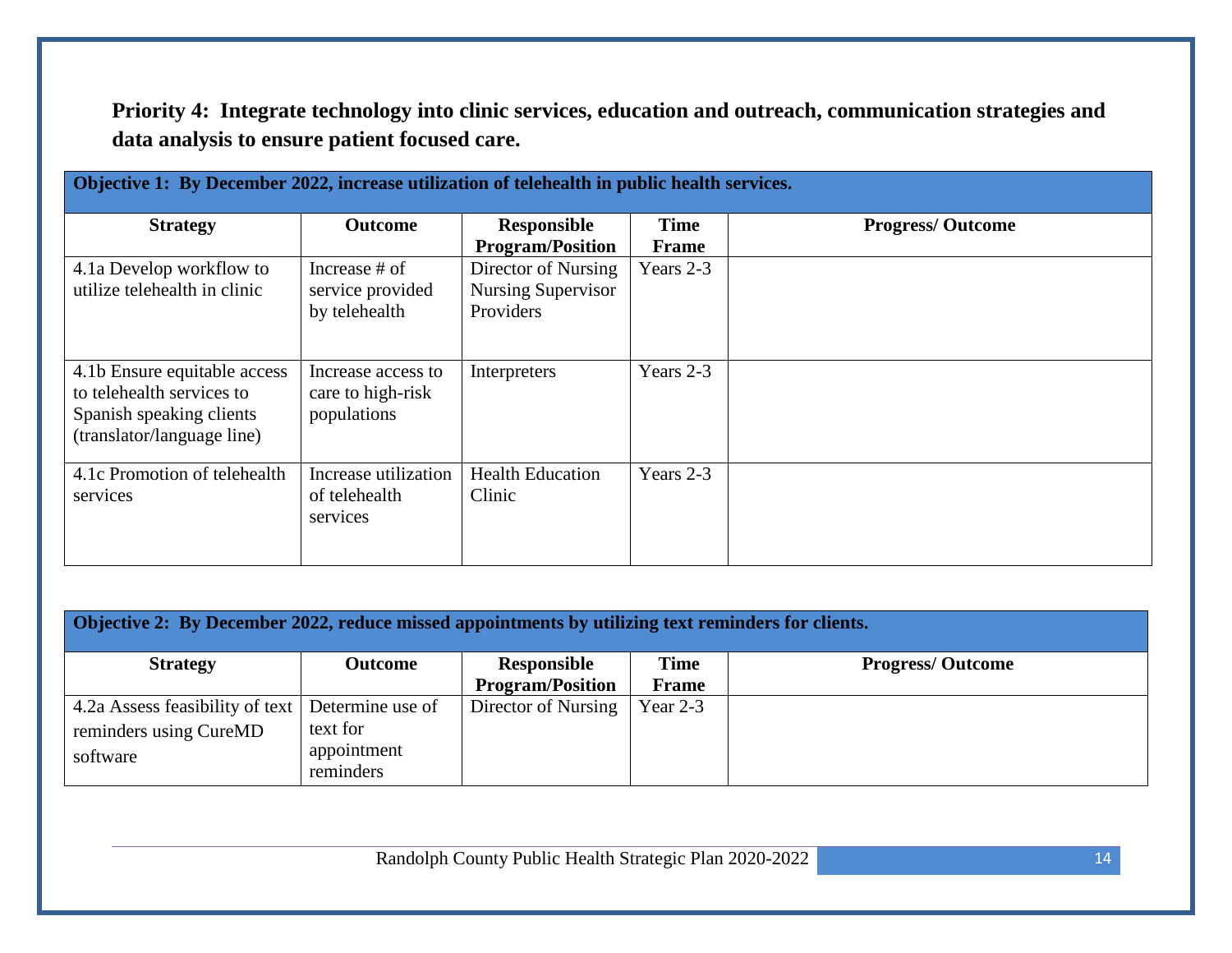**Priority 4: Integrate technology into clinic services, education and outreach, communication strategies and data analysis to ensure patient focused care.** 

| Objective 1: By December 2022, increase utilization of telehealth in public health services.                        |                                                        |                                                                                          |                           |                         |  |  |
|---------------------------------------------------------------------------------------------------------------------|--------------------------------------------------------|------------------------------------------------------------------------------------------|---------------------------|-------------------------|--|--|
| <b>Strategy</b>                                                                                                     | <b>Outcome</b>                                         | <b>Responsible</b>                                                                       | <b>Time</b>               | <b>Progress/Outcome</b> |  |  |
| 4.1a Develop workflow to<br>utilize telehealth in clinic                                                            | Increase $#$ of<br>service provided<br>by telehealth   | <b>Program/Position</b><br>Director of Nursing<br><b>Nursing Supervisor</b><br>Providers | <b>Frame</b><br>Years 2-3 |                         |  |  |
| 4.1b Ensure equitable access<br>to telehealth services to<br>Spanish speaking clients<br>(translator/language line) | Increase access to<br>care to high-risk<br>populations | Interpreters                                                                             | Years 2-3                 |                         |  |  |
| 4.1c Promotion of telehealth<br>services                                                                            | Increase utilization<br>of telehealth<br>services      | <b>Health Education</b><br>Clinic                                                        | Years 2-3                 |                         |  |  |

| Objective 2: By December 2022, reduce missed appointments by utilizing text reminders for clients. |                  |                         |              |                         |
|----------------------------------------------------------------------------------------------------|------------------|-------------------------|--------------|-------------------------|
| <b>Strategy</b>                                                                                    | <b>Outcome</b>   | Responsible             | <b>Time</b>  | <b>Progress/Outcome</b> |
|                                                                                                    |                  | <b>Program/Position</b> | <b>Frame</b> |                         |
| 4.2a Assess feasibility of text                                                                    | Determine use of | Director of Nursing     | Year $2-3$   |                         |
| reminders using CureMD                                                                             | text for         |                         |              |                         |
| software                                                                                           | appointment      |                         |              |                         |
|                                                                                                    | reminders        |                         |              |                         |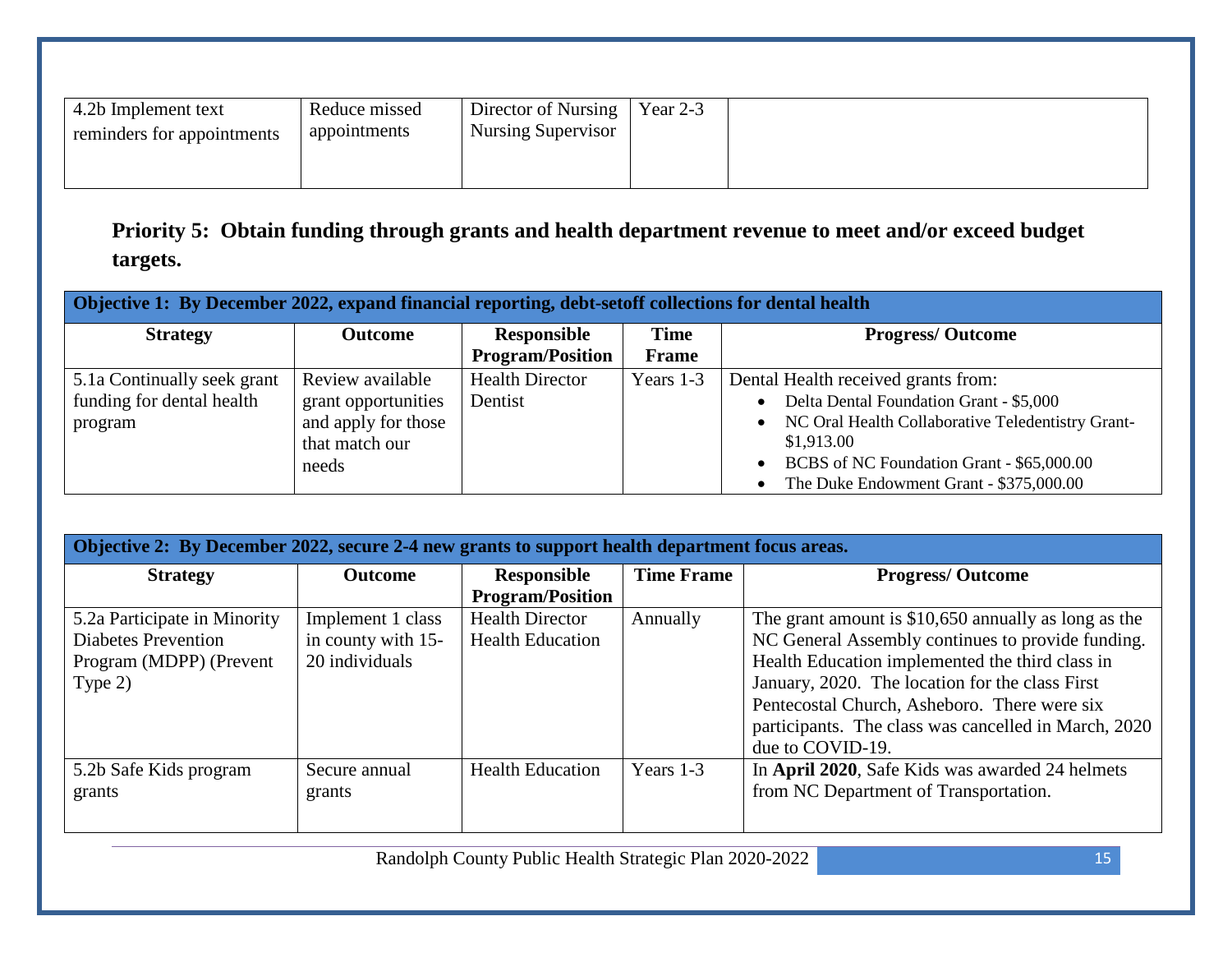| 4.2b Implement text        | Reduce missed | Director of Nursing | Year $2-3$ |  |
|----------------------------|---------------|---------------------|------------|--|
| reminders for appointments | appointments  | Nursing Supervisor  |            |  |
|                            |               |                     |            |  |
|                            |               |                     |            |  |

**Priority 5: Obtain funding through grants and health department revenue to meet and/or exceed budget targets.**

| Objective 1: By December 2022, expand financial reporting, debt-set of f collections for dental health |                                                                                           |                                        |                      |                                                                                                                                                                                                                                                                                  |  |
|--------------------------------------------------------------------------------------------------------|-------------------------------------------------------------------------------------------|----------------------------------------|----------------------|----------------------------------------------------------------------------------------------------------------------------------------------------------------------------------------------------------------------------------------------------------------------------------|--|
| <b>Strategy</b>                                                                                        | <b>Outcome</b>                                                                            | Responsible<br><b>Program/Position</b> | <b>Time</b><br>Frame | <b>Progress/Outcome</b>                                                                                                                                                                                                                                                          |  |
| 5.1a Continually seek grant<br>funding for dental health<br>program                                    | Review available<br>grant opportunities<br>and apply for those<br>that match our<br>needs | <b>Health Director</b><br>Dentist      | Years 1-3            | Dental Health received grants from:<br>Delta Dental Foundation Grant - \$5,000<br>$\bullet$<br>NC Oral Health Collaborative Teledentistry Grant-<br>$\bullet$<br>\$1,913.00<br>BCBS of NC Foundation Grant - \$65,000.00<br>$\bullet$<br>The Duke Endowment Grant - \$375,000.00 |  |

| Objective 2: By December 2022, secure 2-4 new grants to support health department focus areas. |                    |                         |                   |                                                       |  |
|------------------------------------------------------------------------------------------------|--------------------|-------------------------|-------------------|-------------------------------------------------------|--|
| <b>Strategy</b>                                                                                | <b>Outcome</b>     | Responsible             | <b>Time Frame</b> | <b>Progress/Outcome</b>                               |  |
|                                                                                                |                    | <b>Program/Position</b> |                   |                                                       |  |
| 5.2a Participate in Minority                                                                   | Implement 1 class  | <b>Health Director</b>  | Annually          | The grant amount is $$10,650$ annually as long as the |  |
| <b>Diabetes Prevention</b>                                                                     | in county with 15- | <b>Health Education</b> |                   | NC General Assembly continues to provide funding.     |  |
| Program (MDPP) (Prevent                                                                        | 20 individuals     |                         |                   | Health Education implemented the third class in       |  |
| Type $2)$                                                                                      |                    |                         |                   | January, 2020. The location for the class First       |  |
|                                                                                                |                    |                         |                   | Pentecostal Church, Asheboro. There were six          |  |
|                                                                                                |                    |                         |                   | participants. The class was cancelled in March, 2020  |  |
|                                                                                                |                    |                         |                   | due to COVID-19.                                      |  |
| 5.2b Safe Kids program                                                                         | Secure annual      | <b>Health Education</b> | Years 1-3         | In April 2020, Safe Kids was awarded 24 helmets       |  |
| grants                                                                                         | grants             |                         |                   | from NC Department of Transportation.                 |  |
|                                                                                                |                    |                         |                   |                                                       |  |